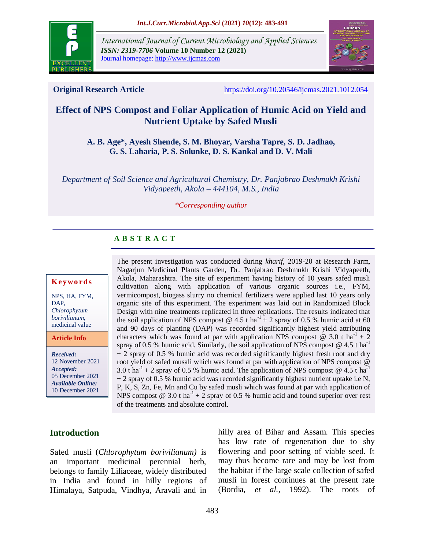

*International Journal of Current Microbiology and Applied Sciences ISSN: 2319-7706* **Volume 10 Number 12 (2021)**  Journal homepage: http://www.ijcmas.com



**Original Research Article** <https://doi.org/10.20546/ijcmas.2021.1012.054>

# **Effect of NPS Compost and Foliar Application of Humic Acid on Yield and Nutrient Uptake by Safed Musli**

## **A. B. Age\*, Ayesh Shende, S. M. Bhoyar, Varsha Tapre, S. D. Jadhao, G. S. Laharia, P. S. Solunke, D. S. Kankal and D. V. Mali**

*Department of Soil Science and Agricultural Chemistry, Dr. Panjabrao Deshmukh Krishi Vidyapeeth, Akola – 444104, M.S., India*

#### *\*Corresponding author*

# **A B S T R A C T**

#### **K ey w o rd s**

NPS, HA, FYM, DAP, *Chlorophytum borivilianum*, medicinal value

**Article Info**

*Received:*  12 November 2021 *Accepted:*  05 December 2021 *Available Online:* 10 December 2021

The present investigation was conducted during *kharif*, 2019-20 at Research Farm, Nagarjun Medicinal Plants Garden, Dr. Panjabrao Deshmukh Krishi Vidyapeeth, Akola, Maharashtra. The site of experiment having history of 10 years safed musli cultivation along with application of various organic sources i.e., FYM, vermicompost, biogass slurry no chemical fertilizers were applied last 10 years only organic site of this experiment. The experiment was laid out in Randomized Block Design with nine treatments replicated in three replications. The results indicated that the soil application of NPS compost  $\omega$  4.5 t ha<sup>-1</sup> + 2 spray of 0.5 % humic acid at 60 and 90 days of planting (DAP) was recorded significantly highest yield attributing characters which was found at par with application NPS compost  $\omega$  3.0 t ha<sup>-1</sup> + 2 spray of 0.5 % humic acid. Similarly, the soil application of NPS compost  $@$  4.5 t ha<sup>-1</sup> + 2 spray of 0.5 % humic acid was recorded significantly highest fresh root and dry root yield of safed musali which was found at par with application of NPS compost @ 3.0 t ha<sup>-1</sup> + 2 spray of 0.5 % humic acid. The application of NPS compost  $\omega$  4.5 t ha<sup>-1</sup>  $+ 2$  spray of 0.5 % humic acid was recorded significantly highest nutrient uptake i.e N, P, K, S, Zn, Fe, Mn and Cu by safed musli which was found at par with application of NPS compost  $\omega$  3.0 t ha<sup>-1</sup> + 2 spray of 0.5 % humic acid and found superior over rest of the treatments and absolute control.

## **Introduction**

Safed musli (*Chlorophytum borivilianum)* is an important medicinal perennial herb, belongs to family Liliaceae, widely distributed in India and found in hilly regions of Himalaya, Satpuda, Vindhya, Aravali and in

hilly area of Bihar and Assam. This species has low rate of regeneration due to shy flowering and poor setting of viable seed. It may thus become rare and may be lost from the habitat if the large scale collection of safed musli in forest continues at the present rate (Bordia, *et al.,* 1992). The roots of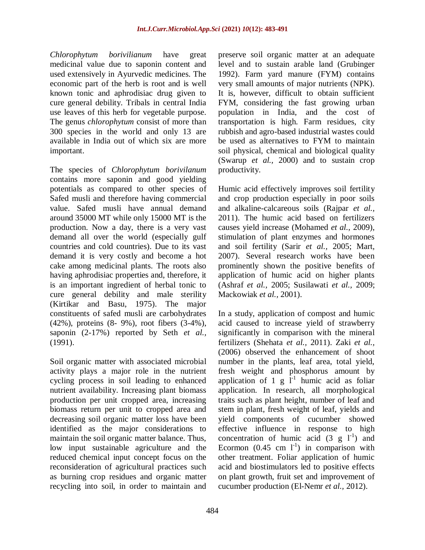*Chlorophytum borivilianum* have great medicinal value due to saponin content and used extensively in Ayurvedic medicines. The economic part of the herb is root and is well known tonic and aphrodisiac drug given to cure general debility. Tribals in central India use leaves of this herb for vegetable purpose. The genus *chlorophytum* consist of more than 300 species in the world and only 13 are available in India out of which six are more important.

The species of *Chlorophytum borivilanum*  contains more saponin and good yielding potentials as compared to other species of Safed musli and therefore having commercial value. Safed musli have annual demand around 35000 MT while only 15000 MT is the production. Now a day, there is a very vast demand all over the world (especially gulf countries and cold countries). Due to its vast demand it is very costly and become a hot cake among medicinal plants. The roots also having aphrodisiac properties and, therefore, it is an important ingredient of herbal tonic to cure general debility and male sterility (Kirtikar and Basu, 1975). The major constituents of safed musli are carbohydrates (42%), proteins (8- 9%), root fibers (3-4%), saponin (2-17%) reported by Seth *et al.,* (1991).

Soil organic matter with associated microbial activity plays a major role in the nutrient cycling process in soil leading to enhanced nutrient availability. Increasing plant biomass production per unit cropped area, increasing biomass return per unit to cropped area and decreasing soil organic matter loss have been identified as the major considerations to maintain the soil organic matter balance. Thus, low input sustainable agriculture and the reduced chemical input concept focus on the reconsideration of agricultural practices such as burning crop residues and organic matter recycling into soil, in order to maintain and

preserve soil organic matter at an adequate level and to sustain arable land (Grubinger 1992). Farm yard manure (FYM) contains very small amounts of major nutrients (NPK). It is, however, difficult to obtain sufficient FYM, considering the fast growing urban population in India, and the cost of transportation is high. Farm residues, city rubbish and agro-based industrial wastes could be used as alternatives to FYM to maintain soil physical, chemical and biological quality (Swarup *et al.,* 2000) and to sustain crop productivity.

Humic acid effectively improves soil fertility and crop production especially in poor soils and alkaline-calcareous soils (Rajpar *et al.,* 2011). The humic acid based on fertilizers causes yield increase (Mohamed *et al.,* 2009), stimulation of plant enzymes and hormones and soil fertility (Sarir *et al.,* 2005; Mart, 2007). Several research works have been prominently shown the positive benefits of application of humic acid on higher plants (Ashraf *et al.,* 2005; Susilawati *et al.,* 2009; Mackowiak *et al.,* 2001).

In a study, application of compost and humic acid caused to increase yield of strawberry significantly in comparison with the mineral fertilizers (Shehata *et al.,* 2011). Zaki *et al.,* (2006) observed the enhancement of shoot number in the plants, leaf area, total yield, fresh weight and phosphorus amount by application of 1  $g \tilde{l}^{-1}$  humic acid as foliar application. In research, all morphological traits such as plant height, number of leaf and stem in plant, fresh weight of leaf, yields and yield components of cucumber showed effective influence in response to high concentration of humic acid  $(3 \text{ g } l<sup>-1</sup>)$  and Ecormon  $(0.45 \text{ cm } l^{\text{-}1})$  in comparison with other treatment. Foliar application of humic acid and biostimulators led to positive effects on plant growth, fruit set and improvement of cucumber production (El-Nemr *et al.,* 2012).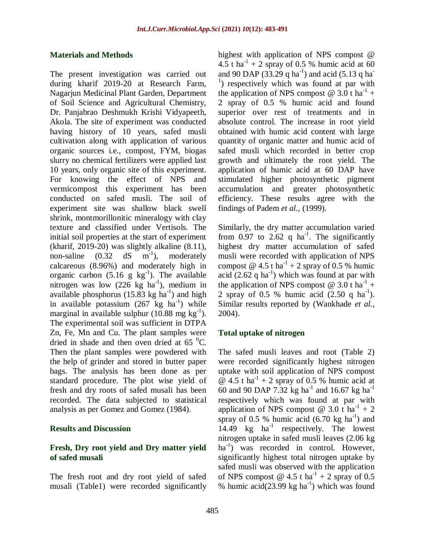#### **Materials and Methods**

The present investigation was carried out during kharif 2019-20 at Research Farm, Nagarjun Medicinal Plant Garden, Department of Soil Science and Agricultural Chemistry, Dr. Panjabrao Deshmukh Krishi Vidyapeeth, Akola. The site of experiment was conducted having history of 10 years, safed musli cultivation along with application of various organic sources i.e., compost, FYM, biogas slurry no chemical fertilizers were applied last 10 years, only organic site of this experiment. For knowing the effect of NPS and vermicompost this experiment has been conducted on safed musli. The soil of experiment site was shallow black swell shrink, montmorillonitic mineralogy with clay texture and classified under Vertisols. The initial soil properties at the start of experiment (kharif, 2019-20) was slightly alkaline (8.11), non-saline  $(0.32)$  $dS$  m<sup>-1</sup>), moderately calcareous (8.96%) and moderately high in organic carbon  $(5.16 \text{ g kg}^{-1})$ . The available nitrogen was low  $(226 \text{ kg} \text{ ha}^{-1})$ , medium in available phosphorus  $(15.83 \text{ kg ha}^{-1})$  and high in available potassium  $(267 \text{ kg} \text{ ha}^{-1})$  while marginal in available sulphur  $(10.88 \text{ mg kg}^{-1})$ . The experimental soil was sufficient in DTPA Zn, Fe, Mn and Cu. The plant samples were dried in shade and then oven dried at  $65<sup>0</sup>C$ . Then the plant samples were powdered with the help of grinder and stored in butter paper bags. The analysis has been done as per standard procedure. The plot wise yield of fresh and dry roots of safed musali has been recorded. The data subjected to statistical analysis as per Gomez and Gomez (1984).

#### **Results and Discussion**

## **Fresh, Dry root yield and Dry matter yield of safed musali**

The fresh root and dry root yield of safed musali (Table1) were recorded significantly highest with application of NPS compost @ 4.5 t ha<sup>-1</sup> + 2 spray of 0.5 % humic acid at 60 and 90 DAP  $(33.29 \text{ q ha}^{-1})$  and acid  $(5.13 \text{ q ha}^{-1})$ <sup>1</sup>) respectively which was found at par with the application of NPS compost  $@ 3.0$  t ha<sup>-1</sup> + 2 spray of 0.5 % humic acid and found superior over rest of treatments and in absolute control. The increase in root yield obtained with humic acid content with large quantity of organic matter and humic acid of safed musli which recorded in better crop growth and ultimately the root yield. The application of humic acid at 60 DAP have stimulated higher photosynthetic pigment accumulation and greater photosynthetic efficiency. These results agree with the findings of Padem *et al.,* (1999).

Similarly, the dry matter accumulation varied from 0.97 to 2.62 q ha<sup>-1</sup>. The significantly highest dry matter accumulation of safed musli were recorded with application of NPS compost  $\omega$  4.5 t ha<sup>-1</sup> + 2 spray of 0.5 % humic acid  $(2.62 \text{ q ha}^{-1})$  which was found at par with the application of NPS compost  $@ 3.0$  t ha<sup>-1</sup> + 2 spray of 0.5 % humic acid  $(2.50 \text{ q ha}^{-1})$ . Similar results reported by (Wankhade *et al.,* 2004).

## **Total uptake of nitrogen**

The safed musli leaves and root (Table 2) were recorded significantly highest nitrogen uptake with soil application of NPS compost  $\omega$  4.5 t ha<sup>-1</sup> + 2 spray of 0.5 % humic acid at 60 and 90 DAP 7.32 kg ha<sup>-1</sup> and 16.67 kg ha<sup>-1</sup> respectively which was found at par with application of NPS compost  $\omega$  3.0 t ha<sup>-1</sup> + 2 spray of 0.5 % humic acid  $(6.70 \text{ kg ha}^{-1})$  and 14.49 kg ha<sup>-1</sup> respectively. The lowest nitrogen uptake in safed musli leaves (2.06 kg ha<sup>-1</sup>) was recorded in control. However, significantly highest total nitrogen uptake by safed musli was observed with the application of NPS compost @ 4.5 t ha<sup>-1</sup> + 2 spray of 0.5 % humic acid(23.99 kg ha<sup>-1</sup>) which was found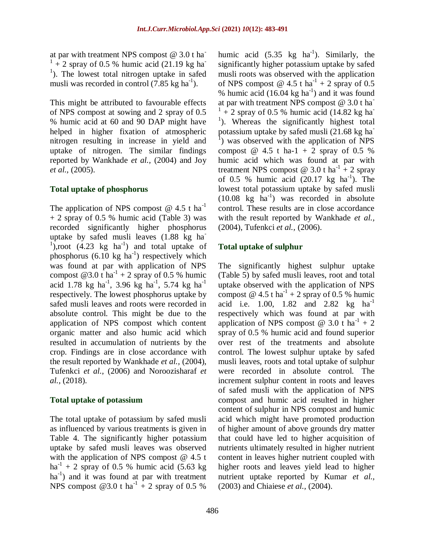at par with treatment NPS compost  $@ 3.0 t$  ha  $1 + 2$  spray of 0.5 % humic acid (21.19 kg ha <sup>1</sup>). The lowest total nitrogen uptake in safed musli was recorded in control  $(7.85 \text{ kg ha}^{-1})$ .

This might be attributed to favourable effects of NPS compost at sowing and 2 spray of 0.5 % humic acid at 60 and 90 DAP might have helped in higher fixation of atmospheric nitrogen resulting in increase in yield and uptake of nitrogen. The similar findings reported by Wankhade *et al.,* (2004) and Joy *et al.,* (2005).

## **Total uptake of phosphorus**

The application of NPS compost  $@$  4.5 t ha<sup>-1</sup> + 2 spray of 0.5 % humic acid (Table 3) was recorded significantly higher phosphorus uptake by safed musli leaves (1.88 kg ha- $1$ ),root (4.23 kg ha<sup>-1</sup>) and total uptake of phosphorus  $(6.10 \text{ kg ha}^{-1})$  respectively which was found at par with application of NPS compost  $@3.0$  t ha<sup>-1</sup> + 2 spray of 0.5 % humic acid 1.78 kg ha<sup>-1</sup>, 3.96 kg ha<sup>-1</sup>, 5.74 kg ha<sup>-1</sup> respectively. The lowest phosphorus uptake by safed musli leaves and roots were recorded in absolute control. This might be due to the application of NPS compost which content organic matter and also humic acid which resulted in accumulation of nutrients by the crop. Findings are in close accordance with the result reported by Wankhade *et al.,* (2004), Tufenkci *et al.,* (2006) and Noroozisharaf *et al.,* (2018).

## **Total uptake of potassium**

The total uptake of potassium by safed musli as influenced by various treatments is given in Table 4. The significantly higher potassium uptake by safed musli leaves was observed with the application of NPS compost @ 4.5 t  $ha^{-1}$  + 2 spray of 0.5 % humic acid (5.63 kg) ha<sup>-1</sup>) and it was found at par with treatment NPS compost  $@3.0$  t ha<sup>-1</sup> + 2 spray of 0.5 %

humic acid  $(5.35 \text{ kg} \text{ ha}^{-1})$ . Similarly, the significantly higher potassium uptake by safed musli roots was observed with the application of NPS compost  $\omega$  4.5 t ha<sup>-1</sup> + 2 spray of 0.5 % humic acid  $(16.04 \text{ kg ha}^{-1})$  and it was found at par with treatment NPS compost  $@ 3.0 t$  ha<sup>-</sup>  $1 + 2$  spray of 0.5 % humic acid (14.82 kg ha) <sup>1</sup>). Whereas the significantly highest total potassium uptake by safed musli (21.68 kg ha<sup>-</sup> <sup>1</sup>) was observed with the application of NPS compost  $@ 4.5 t ha-1 + 2 sprav of 0.5 %$ humic acid which was found at par with treatment NPS compost @ 3.0 t ha<sup>-1</sup> + 2 spray of 0.5 % humic acid  $(20.17 \text{ kg} \text{ ha}^{-1})$ . The lowest total potassium uptake by safed musli  $(10.08 \text{ kg} \text{ ha}^{-1})$  was recorded in absolute control. These results are in close accordance with the result reported by Wankhade *et al.,* (2004), Tufenkci *et al.,* (2006).

## **Total uptake of sulphur**

The significantly highest sulphur uptake (Table 5) by safed musli leaves, root and total uptake observed with the application of NPS compost  $\omega$  4.5 t ha<sup>-1</sup> + 2 spray of 0.5 % humic acid i.e. 1.00, 1.82 and 2.82 kg ha<sup>-1</sup> respectively which was found at par with application of NPS compost @ 3.0 t ha<sup>-1</sup> + 2 spray of 0.5 % humic acid and found superior over rest of the treatments and absolute control. The lowest sulphur uptake by safed musli leaves, roots and total uptake of sulphur were recorded in absolute control. The increment sulphur content in roots and leaves of safed musli with the application of NPS compost and humic acid resulted in higher content of sulphur in NPS compost and humic acid which might have promoted production of higher amount of above grounds dry matter that could have led to higher acquisition of nutrients ultimately resulted in higher nutrient content in leaves higher nutrient coupled with higher roots and leaves yield lead to higher nutrient uptake reported by Kumar *et al.,* (2003) and Chiaiese *et al.,* (2004).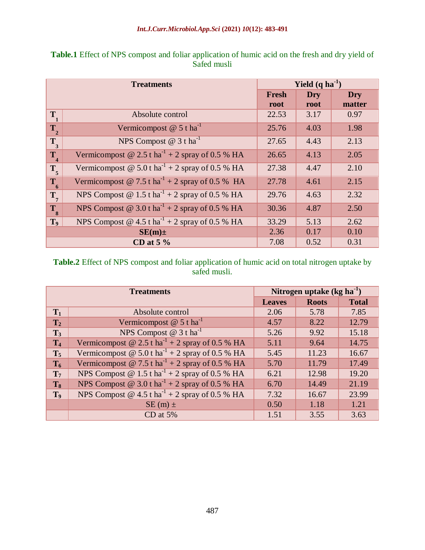| <b>Treatments</b> |                                                               | Yield $(q \text{ ha}^{-1})$ |            |            |  |
|-------------------|---------------------------------------------------------------|-----------------------------|------------|------------|--|
|                   |                                                               | Fresh                       | <b>Dry</b> | <b>Dry</b> |  |
|                   |                                                               | root                        | root       | matter     |  |
| $T_{1}$           | Absolute control                                              | 22.53                       | 3.17       | 0.97       |  |
| $T_{2}$           | Vermicompost $@ 5$ t ha <sup>-1</sup>                         | 25.76                       | 4.03       | 1.98       |  |
| $T_{3}$           | NPS Compost $@3t \text{ ha}^{-1}$                             | 27.65                       | 4.43       | 2.13       |  |
| $T_{4}$           | Vermicompost @ 2.5 t ha <sup>-1</sup> + 2 spray of 0.5 % HA   | 26.65                       | 4.13       | 2.05       |  |
| $T_{\rm 5}$       | Vermicompost @ $5.0$ t ha <sup>-1</sup> + 2 spray of 0.5 % HA | 27.38                       | 4.47       | 2.10       |  |
| $T_{6}$           | Vermicompost @ 7.5 t ha <sup>-1</sup> + 2 spray of 0.5 % HA   | 27.78                       | 4.61       | 2.15       |  |
| $\mathbf{T}_7$    | NPS Compost @ $1.5$ t ha <sup>-1</sup> + 2 spray of 0.5 % HA  | 29.76                       | 4.63       | 2.32       |  |
| $T_{8}$           | NPS Compost @ $3.0 \text{ t ha}^{-1}$ + 2 spray of 0.5 % HA   | 30.36                       | 4.87       | 2.50       |  |
| T <sub>9</sub>    | NPS Compost $@$ 4.5 t ha <sup>-1</sup> + 2 spray of 0.5 % HA  | 33.29                       | 5.13       | 2.62       |  |
|                   | $SE(m) \pm$                                                   | 2.36                        | 0.17       | 0.10       |  |
|                   | CD at $5\%$                                                   |                             | 0.52       | 0.31       |  |

**Table.1** Effect of NPS compost and foliar application of humic acid on the fresh and dry yield of Safed musli

**Table.2** Effect of NPS compost and foliar application of humic acid on total nitrogen uptake by safed musli.

|                | <b>Treatments</b>                                            | Nitrogen uptake $(kg ha-1)$ |              |              |  |
|----------------|--------------------------------------------------------------|-----------------------------|--------------|--------------|--|
|                |                                                              | <b>Leaves</b>               | <b>Roots</b> | <b>Total</b> |  |
| $T_1$          | Absolute control                                             | 2.06                        | 5.78         | 7.85         |  |
| T <sub>2</sub> | Vermicompost $@ 5t$ ha <sup>-1</sup>                         | 4.57                        | 8.22         | 12.79        |  |
| $\mathbf{T}_3$ | NPS Compost $@3t ha^{-1}$                                    | 5.26                        | 9.92         | 15.18        |  |
| T <sub>4</sub> | Vermicompost @ 2.5 t ha <sup>-1</sup> + 2 spray of 0.5 % HA  | 5.11                        | 9.64         | 14.75        |  |
| $T_5$          | Vermicompost @ 5.0 t ha <sup>-1</sup> + 2 spray of 0.5 % HA  | 5.45                        | 11.23        | 16.67        |  |
| $T_6$          | Vermicompost @ 7.5 t ha <sup>-1</sup> + 2 spray of 0.5 % HA  | 5.70                        | 11.79        | 17.49        |  |
| T <sub>7</sub> | NPS Compost @ $1.5 \text{ tha}^{-1}$ + 2 spray of 0.5 % HA   | 6.21                        | 12.98        | 19.20        |  |
| $T_8$          | NPS Compost @ 3.0 t ha <sup>-1</sup> + 2 spray of 0.5 % HA   | 6.70                        | 14.49        | 21.19        |  |
| T <sub>9</sub> | NPS Compost @ $4.5$ t ha <sup>-1</sup> + 2 spray of 0.5 % HA | 7.32                        | 16.67        | 23.99        |  |
|                | $SE(m)$ ±                                                    | 0.50                        | 1.18         | 1.21         |  |
|                | $CD$ at $5%$                                                 | 1.51                        | 3.55         | 3.63         |  |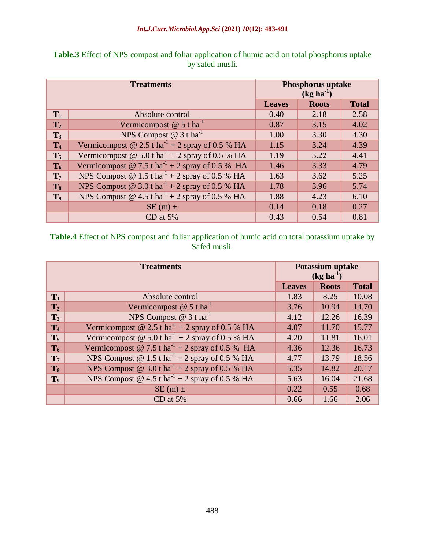| <b>Treatments</b> |                                                              | <b>Phosphorus uptake</b><br>$(kg ha^{-1})$ |              |              |  |
|-------------------|--------------------------------------------------------------|--------------------------------------------|--------------|--------------|--|
|                   |                                                              | <b>Leaves</b>                              | <b>Roots</b> | <b>Total</b> |  |
| $\mathbf{T}_1$    | Absolute control                                             | 0.40                                       | 2.18         | 2.58         |  |
| T <sub>2</sub>    | Vermicompost $@ 5t \text{ ha}^{-1}$                          | 0.87                                       | 3.15         | 4.02         |  |
| $T_3$             | NPS Compost $@3t$ ha <sup>-1</sup>                           | 1.00                                       | 3.30         | 4.30         |  |
| T <sub>4</sub>    | Vermicompost @ 2.5 t ha <sup>-1</sup> + 2 spray of 0.5 % HA  | 1.15                                       | 3.24         | 4.39         |  |
| $T_5$             | Vermicompost @ 5.0 t ha <sup>-1</sup> + 2 spray of 0.5 % HA  | 1.19                                       | 3.22         | 4.41         |  |
| $T_6$             | Vermicompost @ 7.5 t ha <sup>-1</sup> + 2 spray of 0.5 % HA  | 1.46                                       | 3.33         | 4.79         |  |
| $\mathbf{T}_7$    | NPS Compost @ $1.5$ t ha <sup>-1</sup> + 2 spray of 0.5 % HA | 1.63                                       | 3.62         | 5.25         |  |
| $T_8$             | NPS Compost @ $3.0$ t ha <sup>-1</sup> + 2 spray of 0.5 % HA | 1.78                                       | 3.96         | 5.74         |  |
| T <sub>9</sub>    | NPS Compost @ $4.5$ t ha <sup>-1</sup> + 2 spray of 0.5 % HA | 1.88                                       | 4.23         | 6.10         |  |
|                   | $SE(m)$ ±                                                    | 0.14                                       | 0.18         | 0.27         |  |
|                   | CD at 5%                                                     | 0.43                                       | 0.54         | 0.81         |  |

**Table.3** Effect of NPS compost and foliar application of humic acid on total phosphorus uptake by safed musli.

**Table.4** Effect of NPS compost and foliar application of humic acid on total potassium uptake by Safed musli.

| <b>Treatments</b> |                                                              | Potassium uptake<br>$(kg ha-1)$ |              |              |  |
|-------------------|--------------------------------------------------------------|---------------------------------|--------------|--------------|--|
|                   |                                                              | <b>Leaves</b>                   | <b>Roots</b> | <b>Total</b> |  |
| $T_1$             | Absolute control                                             | 1.83                            | 8.25         | 10.08        |  |
| T <sub>2</sub>    | Vermicompost $@ 5t \text{ ha}^{-1}$                          | 3.76                            | 10.94        | 14.70        |  |
| $T_3$             | NPS Compost $@3t \text{ ha}^{-1}$                            | 4.12                            | 12.26        | 16.39        |  |
| T <sub>4</sub>    | Vermicompost @ 2.5 t ha <sup>-1</sup> + 2 spray of 0.5 % HA  | 4.07                            | 11.70        | 15.77        |  |
| $T_5$             | Vermicompost @ 5.0 t ha <sup>-1</sup> + 2 spray of 0.5 % HA  | 4.20                            | 11.81        | 16.01        |  |
| $T_6$             | Vermicompost @ 7.5 t ha <sup>-1</sup> + 2 spray of 0.5 % HA  | 4.36                            | 12.36        | 16.73        |  |
| T <sub>7</sub>    | NPS Compost @ $1.5$ t ha <sup>-1</sup> + 2 spray of 0.5 % HA | 4.77                            | 13.79        | 18.56        |  |
| $T_8$             | NPS Compost @ 3.0 t ha <sup>-1</sup> + 2 spray of 0.5 % HA   | 5.35                            | 14.82        | 20.17        |  |
| T <sub>9</sub>    | NPS Compost @ $4.5$ t ha <sup>-1</sup> + 2 spray of 0.5 % HA | 5.63                            | 16.04        | 21.68        |  |
|                   | $SE(m)$ ±                                                    | 0.22                            | 0.55         | 0.68         |  |
|                   | CD at $5%$                                                   | 0.66                            | 1.66         | 2.06         |  |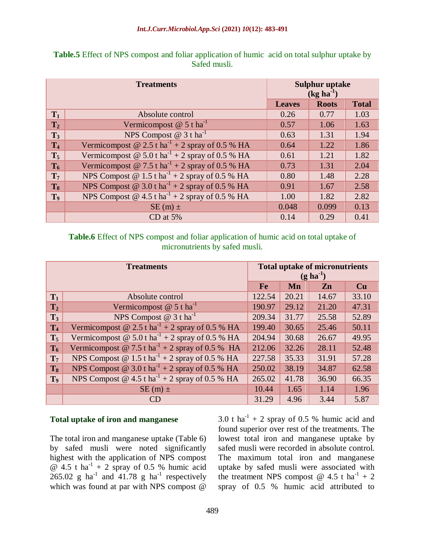| <b>Treatments</b> |                                                              | <b>Sulphur uptake</b><br>$(kg ha-1)$ |              |              |  |
|-------------------|--------------------------------------------------------------|--------------------------------------|--------------|--------------|--|
|                   |                                                              | <b>Leaves</b>                        | <b>Roots</b> | <b>Total</b> |  |
| $T_1$             | Absolute control                                             | 0.26                                 | 0.77         | 1.03         |  |
| T <sub>2</sub>    | Vermicompost $@ 5t \text{ ha}^{-1}$                          | 0.57                                 | 1.06         | 1.63         |  |
| $T_3$             | NPS Compost $@3t$ ha <sup>-1</sup>                           | 0.63                                 | 1.31         | 1.94         |  |
| T <sub>4</sub>    | Vermicompost @ 2.5 t ha <sup>-1</sup> + 2 spray of 0.5 % HA  | 0.64                                 | 1.22         | 1.86         |  |
| $T_5$             | Vermicompost @ 5.0 t ha <sup>-1</sup> + 2 spray of 0.5 % HA  | 0.61                                 | 1.21         | 1.82         |  |
| $T_6$             | Vermicompost @ 7.5 t ha <sup>-1</sup> + 2 spray of 0.5 % HA  | 0.73                                 | 1.31         | 2.04         |  |
| $\mathbf{T}_7$    | NPS Compost @ $1.5$ t ha <sup>-1</sup> + 2 spray of 0.5 % HA | 0.80                                 | 1.48         | 2.28         |  |
| $T_8$             | NPS Compost @ 3.0 t ha <sup>-1</sup> + 2 spray of 0.5 % HA   | 0.91                                 | 1.67         | 2.58         |  |
| T <sub>9</sub>    | NPS Compost @ $4.5$ t ha <sup>-1</sup> + 2 spray of 0.5 % HA | 1.00                                 | 1.82         | 2.82         |  |
|                   | $SE(m)$ ±                                                    | 0.048                                | 0.099        | 0.13         |  |
|                   | CD at $5%$                                                   | 0.14                                 | 0.29         | 0.41         |  |

**Table.5** Effect of NPS compost and foliar application of humic acid on total sulphur uptake by Safed musli.

**Table.6** Effect of NPS compost and foliar application of humic acid on total uptake of micronutrients by safed musli.

| <b>Treatments</b> |                                                              |        | <b>Total uptake of micronutrients</b><br>$(g \, ha^{-1})$ |       |       |  |
|-------------------|--------------------------------------------------------------|--------|-----------------------------------------------------------|-------|-------|--|
|                   |                                                              | Fe     | Mn                                                        | Zn    | Cu    |  |
| $T_1$             | Absolute control                                             | 122.54 | 20.21                                                     | 14.67 | 33.10 |  |
| T <sub>2</sub>    | Vermicompost $@ 5t$ ha <sup>-1</sup>                         | 190.97 | 29.12                                                     | 21.20 | 47.31 |  |
| $\mathbf{T}_3$    | NPS Compost $@ 3t \text{ ha}^{-1}$                           | 209.34 | 31.77                                                     | 25.58 | 52.89 |  |
| T <sub>4</sub>    | Vermicompost @ 2.5 t ha <sup>-1</sup> + 2 spray of 0.5 % HA  | 199.40 | 30.65                                                     | 25.46 | 50.11 |  |
| $T_5$             | Vermicompost @ 5.0 t ha <sup>-1</sup> + 2 spray of 0.5 % HA  | 204.94 | 30.68                                                     | 26.67 | 49.95 |  |
| $T_6$             | Vermicompost @ 7.5 t ha <sup>-1</sup> + 2 spray of 0.5 % HA  | 212.06 | 32.26                                                     | 28.11 | 52.48 |  |
| T <sub>7</sub>    | NPS Compost @ 1.5 t ha <sup>-1</sup> + 2 spray of 0.5 % HA   | 227.58 | 35.33                                                     | 31.91 | 57.28 |  |
| $T_8$             | NPS Compost @ $3.0$ t ha <sup>-1</sup> + 2 spray of 0.5 % HA | 250.02 | 38.19                                                     | 34.87 | 62.58 |  |
| T <sub>9</sub>    | NPS Compost @ $4.5$ t ha <sup>-1</sup> + 2 spray of 0.5 % HA | 265.02 | 41.78                                                     | 36.90 | 66.35 |  |
|                   | $SE(m)$ ±                                                    | 10.44  | 1.65                                                      | 1.14  | 1.96  |  |
|                   | CD                                                           | 31.29  | 4.96                                                      | 3.44  | 5.87  |  |

## **Total uptake of iron and manganese**

The total iron and manganese uptake (Table 6) by safed musli were noted significantly highest with the application of NPS compost  $\overline{\omega}$  4.5 t ha<sup>-1</sup> + 2 spray of 0.5 % humic acid 265.02 g ha<sup>-1</sup> and  $41.78$  g ha<sup>-1</sup> respectively which was found at par with NPS compost @

3.0 t ha<sup>-1</sup> + 2 spray of 0.5 % humic acid and found superior over rest of the treatments. The lowest total iron and manganese uptake by safed musli were recorded in absolute control. The maximum total iron and manganese uptake by safed musli were associated with the treatment NPS compost  $\omega$  4.5 t ha<sup>-1</sup> + 2 spray of 0.5 % humic acid attributed to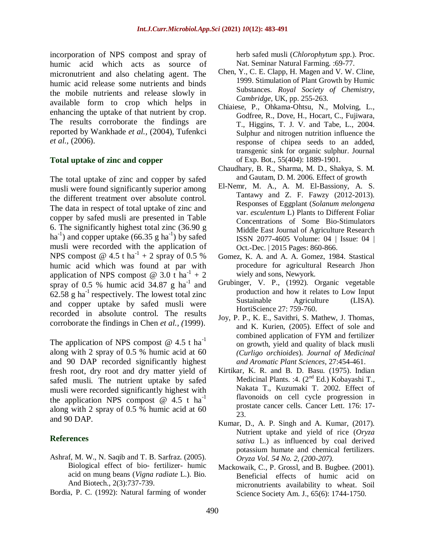incorporation of NPS compost and spray of humic acid which acts as source of micronutrient and also chelating agent. The humic acid release some nutrients and binds the mobile nutrients and release slowly in available form to crop which helps in enhancing the uptake of that nutrient by crop. The results corroborate the findings are reported by Wankhade *et al.,* (2004), Tufenkci *et al.,* (2006).

## **Total uptake of zinc and copper**

The total uptake of zinc and copper by safed musli were found significantly superior among the different treatment over absolute control. The data in respect of total uptake of zinc and copper by safed musli are presented in Table 6. The significantly highest total zinc (36.90 g ha<sup>-1</sup>) and copper uptake  $(66.35 \text{ g ha}^{-1})$  by safed musli were recorded with the application of NPS compost @  $4.5$  t ha<sup>-1</sup> + 2 spray of 0.5 % humic acid which was found at par with application of NPS compost @ 3.0 t ha<sup>-1</sup> + 2 spray of 0.5 % humic acid  $34.87$  g ha<sup>-1</sup> and 62.58 g ha<sup>-1</sup> respectively. The lowest total zinc and copper uptake by safed musli were recorded in absolute control. The results corroborate the findings in Chen *et al., (*1999).

The application of NPS compost  $@$  4.5 t ha<sup>-1</sup> along with 2 spray of 0.5 % humic acid at 60 and 90 DAP recorded significantly highest fresh root, dry root and dry matter yield of safed musli. The nutrient uptake by safed musli were recorded significantly highest with the application NPS compost  $\omega$  4.5 t ha<sup>-1</sup> along with 2 spray of 0.5 % humic acid at 60 and 90 DAP.

## **References**

- Ashraf, M. W., N. Saqib and T. B. Sarfraz. (2005). Biological effect of bio- fertilizer- humic acid on mung beans (*Vigna radiate* L.). Bio. And Biotech., 2(3):737-739.
- Bordia, P. C. (1992): Natural farming of wonder

herb safed musli (*Chlorophytum spp.*). Proc. Nat. Seminar Natural Farming. :69-77.

- Chen, Y., C. E. Clapp, H. Magen and V. W. Cline, 1999. Stimulation of Plant Growth by Humic Substances. *Royal Society of Chemistry, Cambridge,* UK, pp. 255-263.
- Chiaiese, P., Ohkama-Ohtsu, N., Molving, L., Godfree, R., Dove, H., Hocart, C., Fujiwara, T., Higgins, T. J. V. and Tabe, L., 2004. Sulphur and nitrogen nutrition influence the response of chipea seeds to an added, transgenic sink for organic sulphur. Journal of Exp. Bot., 55(404): 1889-1901.
- Chaudhary, B. R., Sharma, M. D., Shakya, S. M. and Gautam, D. M. 2006. Effect of growth
- El-Nemr, M. A., A. M. El-Bassiony, A. S. Tantawy and Z. F. Fawzy (2012-2013). Responses of Eggplant (*Solanum melongena* var. *esculentum* L) Plants to Different Foliar Concentrations of Some Bio-Stimulators Middle East Journal of Agriculture Research ISSN 2077-4605 Volume: 04 | Issue: 04 | Oct.-Dec. | 2015 Pages: 860-866.
- Gomez, K. A. and A. A. Gomez, 1984. Stastical procedure for agricultural Research Jhon wiely and sons, Newyork.
- Grubinger, V. P., (1992). Organic vegetable production and how it relates to Low Input Sustainable Agriculture (LISA). HortiScience 27: 759-760.
- Joy, P. P., K. E., Savithri, S. Mathew, J. Thomas, and K. Kurien, (2005). Effect of sole and combined application of FYM and fertilizer on growth, yield and quality of black musli *(Curligo orchioides*). *Journal of Medicinal and Aromatic Plant Sciences*, 27:454-461.
- Kirtikar, K. R. and B. D. Basu. (1975). Indian Medicinal Plants. : 4.  $(2^{nd} Ed.)$  Kobayashi T., Nakata T., Kuzumaki T. 2002. Effect of flavonoids on cell cycle progression in prostate cancer cells. Cancer Lett. 176: 17- 23.
- Kumar, D., A. P. Singh and A. Kumar, (2017). Nutrient uptake and yield of rice (*Oryza sativa* L.) as influenced by coal derived potassium humate and chemical fertilizers. *Oryza Vol. 54 No. 2, (200-207).*
- Mackowaik, C., P. Grossl, and B. Bugbee. (2001). Beneficial effects of humic acid on micronutrients availability to wheat. Soil Science Society Am. J., 65(6): 1744-1750.